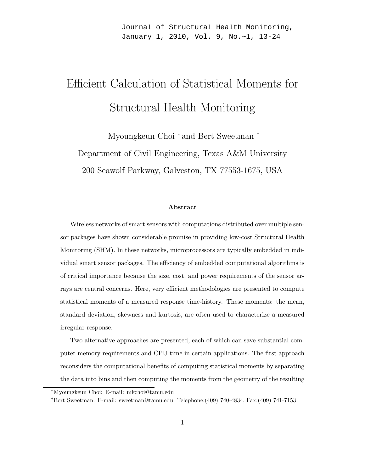Journal of Structural Health Monitoring, January 1, 2010, Vol. 9, No.~1, 13-24

# Efficient Calculation of Statistical Moments for Structural Health Monitoring

Myoungkeun Choi <sup>∗</sup> and Bert Sweetman †

Department of Civil Engineering, Texas A&M University

200 Seawolf Parkway, Galveston, TX 77553-1675, USA

### Abstract

Wireless networks of smart sensors with computations distributed over multiple sensor packages have shown considerable promise in providing low-cost Structural Health Monitoring (SHM). In these networks, microprocessors are typically embedded in individual smart sensor packages. The efficiency of embedded computational algorithms is of critical importance because the size, cost, and power requirements of the sensor arrays are central concerns. Here, very efficient methodologies are presented to compute statistical moments of a measured response time-history. These moments: the mean, standard deviation, skewness and kurtosis, are often used to characterize a measured irregular response.

Two alternative approaches are presented, each of which can save substantial computer memory requirements and CPU time in certain applications. The first approach reconsiders the computational benefits of computing statistical moments by separating the data into bins and then computing the moments from the geometry of the resulting

<sup>∗</sup>Myoungkeun Choi: E-mail: mkchoi@tamu.edu

<sup>†</sup>Bert Sweetman: E-mail: sweetman@tamu.edu, Telephone:(409) 740-4834, Fax:(409) 741-7153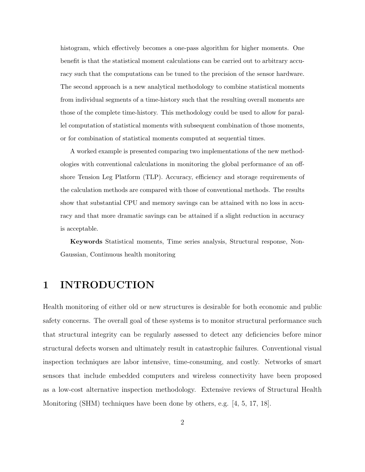histogram, which effectively becomes a one-pass algorithm for higher moments. One benefit is that the statistical moment calculations can be carried out to arbitrary accuracy such that the computations can be tuned to the precision of the sensor hardware. The second approach is a new analytical methodology to combine statistical moments from individual segments of a time-history such that the resulting overall moments are those of the complete time-history. This methodology could be used to allow for parallel computation of statistical moments with subsequent combination of those moments, or for combination of statistical moments computed at sequential times.

A worked example is presented comparing two implementations of the new methodologies with conventional calculations in monitoring the global performance of an offshore Tension Leg Platform (TLP). Accuracy, efficiency and storage requirements of the calculation methods are compared with those of conventional methods. The results show that substantial CPU and memory savings can be attained with no loss in accuracy and that more dramatic savings can be attained if a slight reduction in accuracy is acceptable.

Keywords Statistical moments, Time series analysis, Structural response, Non-Gaussian, Continuous health monitoring

## 1 INTRODUCTION

Health monitoring of either old or new structures is desirable for both economic and public safety concerns. The overall goal of these systems is to monitor structural performance such that structural integrity can be regularly assessed to detect any deficiencies before minor structural defects worsen and ultimately result in catastrophic failures. Conventional visual inspection techniques are labor intensive, time-consuming, and costly. Networks of smart sensors that include embedded computers and wireless connectivity have been proposed as a low-cost alternative inspection methodology. Extensive reviews of Structural Health Monitoring (SHM) techniques have been done by others, e.g. [4, 5, 17, 18].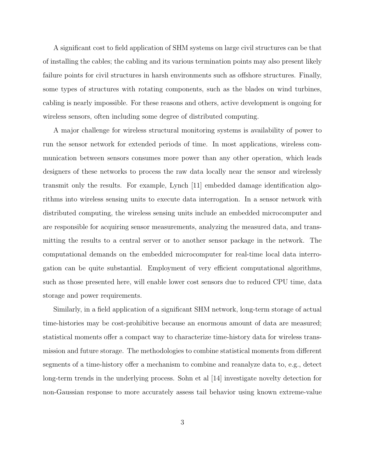A significant cost to field application of SHM systems on large civil structures can be that of installing the cables; the cabling and its various termination points may also present likely failure points for civil structures in harsh environments such as offshore structures. Finally, some types of structures with rotating components, such as the blades on wind turbines, cabling is nearly impossible. For these reasons and others, active development is ongoing for wireless sensors, often including some degree of distributed computing.

A major challenge for wireless structural monitoring systems is availability of power to run the sensor network for extended periods of time. In most applications, wireless communication between sensors consumes more power than any other operation, which leads designers of these networks to process the raw data locally near the sensor and wirelessly transmit only the results. For example, Lynch [11] embedded damage identification algorithms into wireless sensing units to execute data interrogation. In a sensor network with distributed computing, the wireless sensing units include an embedded microcomputer and are responsible for acquiring sensor measurements, analyzing the measured data, and transmitting the results to a central server or to another sensor package in the network. The computational demands on the embedded microcomputer for real-time local data interrogation can be quite substantial. Employment of very efficient computational algorithms, such as those presented here, will enable lower cost sensors due to reduced CPU time, data storage and power requirements.

Similarly, in a field application of a significant SHM network, long-term storage of actual time-histories may be cost-prohibitive because an enormous amount of data are measured; statistical moments offer a compact way to characterize time-history data for wireless transmission and future storage. The methodologies to combine statistical moments from different segments of a time-history offer a mechanism to combine and reanalyze data to, e.g., detect long-term trends in the underlying process. Sohn et al [14] investigate novelty detection for non-Gaussian response to more accurately assess tail behavior using known extreme-value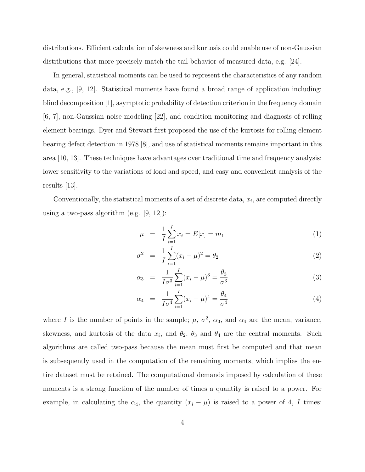distributions. Efficient calculation of skewness and kurtosis could enable use of non-Gaussian distributions that more precisely match the tail behavior of measured data, e.g. [24].

In general, statistical moments can be used to represent the characteristics of any random data, e.g., [9, 12]. Statistical moments have found a broad range of application including: blind decomposition [1], asymptotic probability of detection criterion in the frequency domain [6, 7], non-Gaussian noise modeling [22], and condition monitoring and diagnosis of rolling element bearings. Dyer and Stewart first proposed the use of the kurtosis for rolling element bearing defect detection in 1978 [8], and use of statistical moments remains important in this area [10, 13]. These techniques have advantages over traditional time and frequency analysis: lower sensitivity to the variations of load and speed, and easy and convenient analysis of the results [13].

Conventionally, the statistical moments of a set of discrete data,  $x_i$ , are computed directly using a two-pass algorithm (e.g.  $[9, 12]$ ):

$$
\mu = \frac{1}{I} \sum_{i=1}^{I} x_i = E[x] = m_1 \tag{1}
$$

$$
\sigma^2 = \frac{1}{I} \sum_{i=1}^{I} (x_i - \mu)^2 = \theta_2 \tag{2}
$$

$$
\alpha_3 = \frac{1}{I\sigma^3} \sum_{i=1}^{I} (x_i - \mu)^3 = \frac{\theta_3}{\sigma^3}
$$
 (3)

$$
\alpha_4 = \frac{1}{I\sigma^4} \sum_{i=1}^{I} (x_i - \mu)^4 = \frac{\theta_4}{\sigma^4} \tag{4}
$$

where I is the number of points in the sample;  $\mu$ ,  $\sigma^2$ ,  $\alpha_3$ , and  $\alpha_4$  are the mean, variance, skewness, and kurtosis of the data  $x_i$ , and  $\theta_2$ ,  $\theta_3$  and  $\theta_4$  are the central moments. Such algorithms are called two-pass because the mean must first be computed and that mean is subsequently used in the computation of the remaining moments, which implies the entire dataset must be retained. The computational demands imposed by calculation of these moments is a strong function of the number of times a quantity is raised to a power. For example, in calculating the  $\alpha_4$ , the quantity  $(x_i - \mu)$  is raised to a power of 4, I times: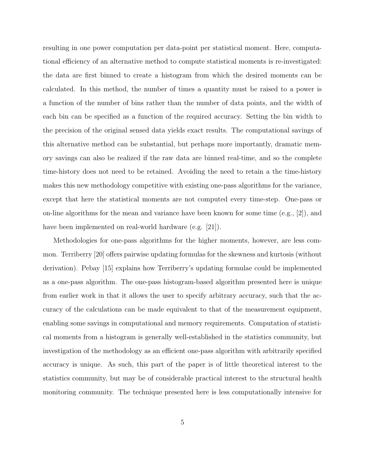resulting in one power computation per data-point per statistical moment. Here, computational efficiency of an alternative method to compute statistical moments is re-investigated: the data are first binned to create a histogram from which the desired moments can be calculated. In this method, the number of times a quantity must be raised to a power is a function of the number of bins rather than the number of data points, and the width of each bin can be specified as a function of the required accuracy. Setting the bin width to the precision of the original sensed data yields exact results. The computational savings of this alternative method can be substantial, but perhaps more importantly, dramatic memory savings can also be realized if the raw data are binned real-time, and so the complete time-history does not need to be retained. Avoiding the need to retain a the time-history makes this new methodology competitive with existing one-pass algorithms for the variance, except that here the statistical moments are not computed every time-step. One-pass or on-line algorithms for the mean and variance have been known for some time  $(e.g., [2])$ , and have been implemented on real-world hardware (e.g. [21]).

Methodologies for one-pass algorithms for the higher moments, however, are less common. Terriberry [20] offers pairwise updating formulas for the skewness and kurtosis (without derivation). Pebay [15] explains how Terriberry's updating formulae could be implemented as a one-pass algorithm. The one-pass histogram-based algorithm presented here is unique from earlier work in that it allows the user to specify arbitrary accuracy, such that the accuracy of the calculations can be made equivalent to that of the measurement equipment, enabling some savings in computational and memory requirements. Computation of statistical moments from a histogram is generally well-established in the statistics community, but investigation of the methodology as an efficient one-pass algorithm with arbitrarily specified accuracy is unique. As such, this part of the paper is of little theoretical interest to the statistics community, but may be of considerable practical interest to the structural health monitoring community. The technique presented here is less computationally intensive for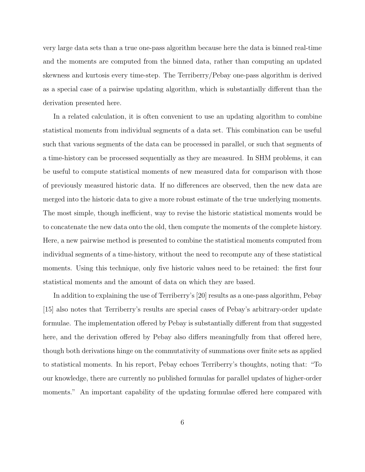very large data sets than a true one-pass algorithm because here the data is binned real-time and the moments are computed from the binned data, rather than computing an updated skewness and kurtosis every time-step. The Terriberry/Pebay one-pass algorithm is derived as a special case of a pairwise updating algorithm, which is substantially different than the derivation presented here.

In a related calculation, it is often convenient to use an updating algorithm to combine statistical moments from individual segments of a data set. This combination can be useful such that various segments of the data can be processed in parallel, or such that segments of a time-history can be processed sequentially as they are measured. In SHM problems, it can be useful to compute statistical moments of new measured data for comparison with those of previously measured historic data. If no differences are observed, then the new data are merged into the historic data to give a more robust estimate of the true underlying moments. The most simple, though inefficient, way to revise the historic statistical moments would be to concatenate the new data onto the old, then compute the moments of the complete history. Here, a new pairwise method is presented to combine the statistical moments computed from individual segments of a time-history, without the need to recompute any of these statistical moments. Using this technique, only five historic values need to be retained: the first four statistical moments and the amount of data on which they are based.

In addition to explaining the use of Terriberry's [20] results as a one-pass algorithm, Pebay [15] also notes that Terriberry's results are special cases of Pebay's arbitrary-order update formulae. The implementation offered by Pebay is substantially different from that suggested here, and the derivation offered by Pebay also differs meaningfully from that offered here, though both derivations hinge on the commutativity of summations over finite sets as applied to statistical moments. In his report, Pebay echoes Terriberry's thoughts, noting that: "To our knowledge, there are currently no published formulas for parallel updates of higher-order moments." An important capability of the updating formulae offered here compared with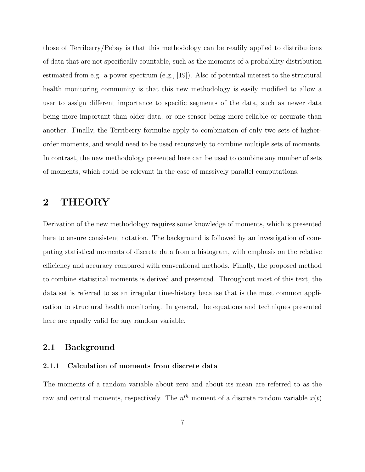those of Terriberry/Pebay is that this methodology can be readily applied to distributions of data that are not specifically countable, such as the moments of a probability distribution estimated from e.g. a power spectrum (e.g., [19]). Also of potential interest to the structural health monitoring community is that this new methodology is easily modified to allow a user to assign different importance to specific segments of the data, such as newer data being more important than older data, or one sensor being more reliable or accurate than another. Finally, the Terriberry formulae apply to combination of only two sets of higherorder moments, and would need to be used recursively to combine multiple sets of moments. In contrast, the new methodology presented here can be used to combine any number of sets of moments, which could be relevant in the case of massively parallel computations.

## 2 THEORY

Derivation of the new methodology requires some knowledge of moments, which is presented here to ensure consistent notation. The background is followed by an investigation of computing statistical moments of discrete data from a histogram, with emphasis on the relative efficiency and accuracy compared with conventional methods. Finally, the proposed method to combine statistical moments is derived and presented. Throughout most of this text, the data set is referred to as an irregular time-history because that is the most common application to structural health monitoring. In general, the equations and techniques presented here are equally valid for any random variable.

### 2.1 Background

### 2.1.1 Calculation of moments from discrete data

The moments of a random variable about zero and about its mean are referred to as the raw and central moments, respectively. The  $n^{th}$  moment of a discrete random variable  $x(t)$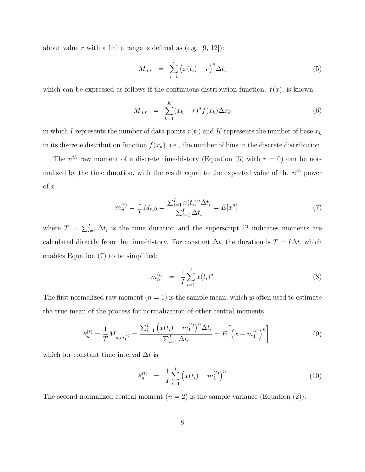about value r with a finite range is defined as  $(e.g. [9, 12])$ :

$$
M_{n,r} = \sum_{i=1}^{I} \left( x(t_i) - r \right)^n \Delta t_i \tag{5}
$$

which can be expressed as follows if the continuous distribution function,  $f(x)$ , is known:

$$
M_{n,r} = \sum_{k=1}^{K} (x_k - r)^n f(x_k) \Delta x_k \tag{6}
$$

in which I represents the number of data points  $x(t_i)$  and K represents the number of base  $x_k$ in its discrete distribution function  $f(x_k)$ , i.e., the number of bins in the discrete distribution.

The  $n^{th}$  raw moment of a discrete time-history (Equation (5) with  $r = 0$ ) can be normalized by the time duration, with the result equal to the expected value of the  $n^{th}$  power  $\int x$ 

$$
m_n^{(t)} = \frac{1}{T} M_{n,0} = \frac{\sum_{i=1}^I x(t_i)^n \Delta t_i}{\sum_{i=1}^I \Delta t_i} = E[x^n]
$$
\n(7)

where  $T = \sum_{i=1}^{I} \Delta t_i$  is the time duration and the superscript  $^{(t)}$  indicates moments are calculated directly from the time-history. For constant  $\Delta t$ , the duration is  $T = I\Delta t$ , which enables Equation (7) to be simplified:

$$
m_n^{(t)} = \frac{1}{I} \sum_{i=1}^{I} x(t_i)^n \tag{8}
$$

The first normalized raw moment  $(n = 1)$  is the sample mean, which is often used to estimate the true mean of the process for normalization of other central moments.

$$
\theta_n^{(t)} = \frac{1}{T} M_{n,m_1^{(t)}} = \frac{\sum_{i=1}^I \left( x(t_i) - m_1^{(t)} \right)^n \Delta t_i}{\sum_{i=1}^I \Delta t_i} = E \left[ \left( x - m_1^{(t)} \right)^n \right] \tag{9}
$$

which for constant time interval  $\Delta t$  is:

$$
\theta_n^{(t)} = \frac{1}{I} \sum_{i=1}^{I} \left( x(t_i) - m_1^{(t)} \right)^n \tag{10}
$$

The second normalized central moment  $(n = 2)$  is the sample variance (Equation (2)).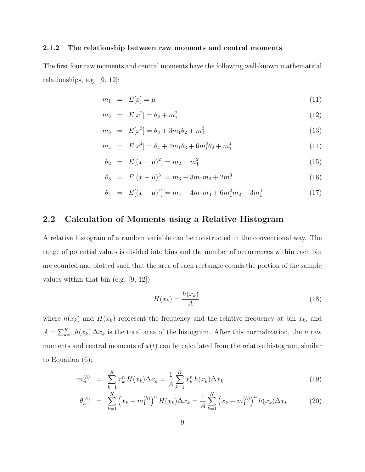### 2.1.2 The relationship between raw moments and central moments

The first four raw moments and central moments have the following well-known mathematical relationships, e.g. [9, 12]:

$$
m_1 = E[x] = \mu \tag{11}
$$

$$
m_2 = E[x^2] = \theta_2 + m_1^2 \tag{12}
$$

$$
m_3 = E[x^3] = \theta_3 + 3m_1\theta_2 + m_1^3 \tag{13}
$$

$$
m_4 = E[x^4] = \theta_4 + 4m_1\theta_3 + 6m_1^2\theta_2 + m_1^4 \tag{14}
$$

$$
\theta_2 = E[(x - \mu)^2] = m_2 - m_1^2 \tag{15}
$$

$$
\theta_3 = E[(x - \mu)^3] = m_3 - 3m_1m_2 + 2m_1^3 \tag{16}
$$

$$
\theta_4 = E[(x - \mu)^4] = m_4 - 4m_1m_3 + 6m_1^2m_2 - 3m_1^4 \tag{17}
$$

### 2.2 Calculation of Moments using a Relative Histogram

A relative histogram of a random variable can be constructed in the conventional way. The range of potential values is divided into bins and the number of occurrences within each bin are counted and plotted such that the area of each rectangle equals the portion of the sample values within that bin (e.g.  $[9, 12]$ ):

$$
H(x_k) = \frac{h(x_k)}{A} \tag{18}
$$

where  $h(x_k)$  and  $H(x_k)$  represent the frequency and the relative frequency at bin  $x_k$ , and  $A = \sum_{k=1}^{K} h(x_k) \Delta x_k$  is the total area of the histogram. After this normalization, the *n* raw moments and central moments of  $x(t)$  can be calculated from the relative histogram, similar to Equation (6):

$$
m_n^{(h)} = \sum_{k=1}^K x_k^n H(x_k) \Delta x_k = \frac{1}{A} \sum_{k=1}^K x_k^n h(x_k) \Delta x_k
$$
\n(19)

$$
\theta_n^{(h)} = \sum_{k=1}^K \left( x_k - m_1^{(h)} \right)^n H(x_k) \Delta x_k = \frac{1}{A} \sum_{k=1}^K \left( x_k - m_1^{(h)} \right)^n h(x_k) \Delta x_k \tag{20}
$$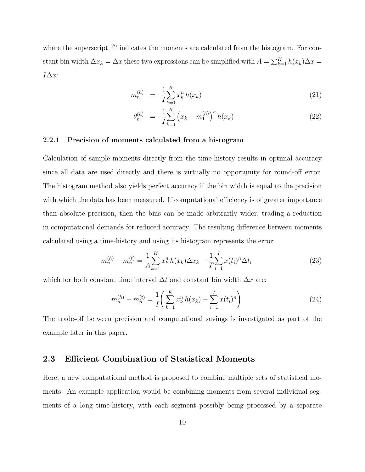where the superscript  $(h)$  indicates the moments are calculated from the histogram. For constant bin width  $\Delta x_k = \Delta x$  these two expressions can be simplified with  $A = \sum_{k=1}^K h(x_k) \Delta x =$  $I\Delta x$ :

$$
m_n^{(h)} = \frac{1}{I} \sum_{k=1}^{K} x_k^n h(x_k)
$$
\n(21)

$$
\theta_n^{(h)} = \frac{1}{I} \sum_{k=1}^K \left( x_k - m_1^{(h)} \right)^n h(x_k) \tag{22}
$$

### 2.2.1 Precision of moments calculated from a histogram

Calculation of sample moments directly from the time-history results in optimal accuracy since all data are used directly and there is virtually no opportunity for round-off error. The histogram method also yields perfect accuracy if the bin width is equal to the precision with which the data has been measured. If computational efficiency is of greater importance than absolute precision, then the bins can be made arbitrarily wider, trading a reduction in computational demands for reduced accuracy. The resulting difference between moments calculated using a time-history and using its histogram represents the error:

$$
m_n^{(h)} - m_n^{(t)} = \frac{1}{A} \sum_{k=1}^K x_k^n h(x_k) \Delta x_k - \frac{1}{T} \sum_{i=1}^I x(t_i)^n \Delta t_i
$$
\n(23)

which for both constant time interval  $\Delta t$  and constant bin width  $\Delta x$  are:

$$
m_n^{(h)} - m_n^{(t)} = \frac{1}{I} \left( \sum_{k=1}^K x_k^n h(x_k) - \sum_{i=1}^I x(t_i)^n \right)
$$
 (24)

The trade-off between precision and computational savings is investigated as part of the example later in this paper.

### 2.3 Efficient Combination of Statistical Moments

Here, a new computational method is proposed to combine multiple sets of statistical moments. An example application would be combining moments from several individual segments of a long time-history, with each segment possibly being processed by a separate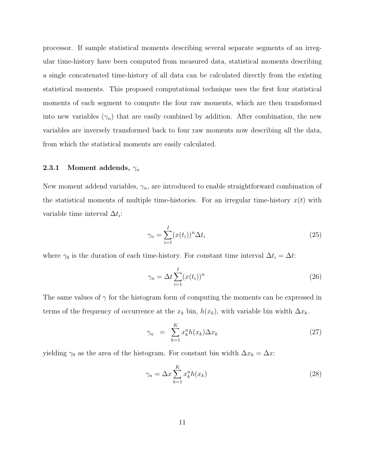processor. If sample statistical moments describing several separate segments of an irregular time-history have been computed from measured data, statistical moments describing a single concatenated time-history of all data can be calculated directly from the existing statistical moments. This proposed computational technique uses the first four statistical moments of each segment to compute the four raw moments, which are then transformed into new variables  $(\gamma_n)$  that are easily combined by addition. After combination, the new variables are inversely transformed back to four raw moments now describing all the data, from which the statistical moments are easily calculated.

### 2.3.1 Moment addends,  $\gamma_n$

New moment addend variables,  $\gamma_n$ , are introduced to enable straightforward combination of the statistical moments of multiple time-histories. For an irregular time-history  $x(t)$  with variable time interval  $\Delta t_i$ :

$$
\gamma_n = \sum_{i=1}^I (x(t_i))^n \Delta t_i
$$
\n(25)

where  $\gamma_0$  is the duration of each time-history. For constant time interval  $\Delta t_i = \Delta t$ :

$$
\gamma_n = \Delta t \sum_{i=1}^I (x(t_i))^n \tag{26}
$$

The same values of  $\gamma$  for the histogram form of computing the moments can be expressed in terms of the frequency of occurrence at the  $x_k$  bin,  $h(x_k)$ , with variable bin width  $\Delta x_k$ .

$$
\gamma_n = \sum_{k=1}^K x_k^n h(x_k) \Delta x_k \tag{27}
$$

yielding  $\gamma_0$  as the area of the histogram. For constant bin width  $\Delta x_k = \Delta x$ :

$$
\gamma_n = \Delta x \sum_{k=1}^{K} x_k^n h(x_k) \tag{28}
$$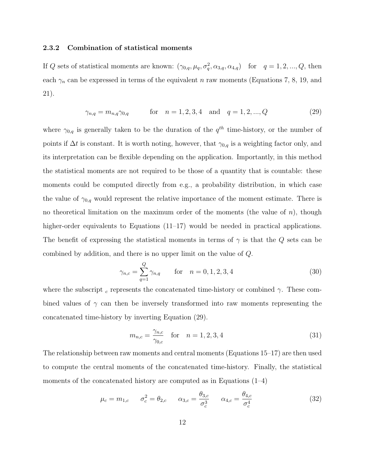#### 2.3.2 Combination of statistical moments

If Q sets of statistical moments are known:  $(\gamma_{0,q}, \mu_q, \sigma_q^2, \alpha_{3,q}, \alpha_{4,q})$  for  $q = 1, 2, ..., Q$ , then each  $\gamma_n$  can be expressed in terms of the equivalent n raw moments (Equations 7, 8, 19, and 21).

$$
\gamma_{n,q} = m_{n,q} \gamma_{0,q} \qquad \text{for} \quad n = 1, 2, 3, 4 \quad \text{and} \quad q = 1, 2, ..., Q \qquad (29)
$$

where  $\gamma_{0,q}$  is generally taken to be the duration of the  $q^{th}$  time-history, or the number of points if  $\Delta t$  is constant. It is worth noting, however, that  $\gamma_{0,q}$  is a weighting factor only, and its interpretation can be flexible depending on the application. Importantly, in this method the statistical moments are not required to be those of a quantity that is countable: these moments could be computed directly from e.g., a probability distribution, in which case the value of  $\gamma_{0,q}$  would represent the relative importance of the moment estimate. There is no theoretical limitation on the maximum order of the moments (the value of  $n$ ), though higher-order equivalents to Equations (11–17) would be needed in practical applications. The benefit of expressing the statistical moments in terms of  $\gamma$  is that the Q sets can be combined by addition, and there is no upper limit on the value of Q.

$$
\gamma_{n,c} = \sum_{q=1}^{Q} \gamma_{n,q} \qquad \text{for} \quad n = 0, 1, 2, 3, 4 \tag{30}
$$

where the subscript  $c$  represents the concatenated time-history or combined  $\gamma$ . These combined values of  $\gamma$  can then be inversely transformed into raw moments representing the concatenated time-history by inverting Equation (29).

$$
m_{n,c} = \frac{\gamma_{n,c}}{\gamma_{0,c}} \quad \text{for} \quad n = 1, 2, 3, 4 \tag{31}
$$

The relationship between raw moments and central moments (Equations 15–17) are then used to compute the central moments of the concatenated time-history. Finally, the statistical moments of the concatenated history are computed as in Equations  $(1-4)$ 

$$
\mu_c = m_{1,c}
$$
\n $\sigma_c^2 = \theta_{2,c}$ \n $\alpha_{3,c} = \frac{\theta_{3,c}}{\sigma_c^3}$ \n $\alpha_{4,c} = \frac{\theta_{4,c}}{\sigma_c^4}$ \n(32)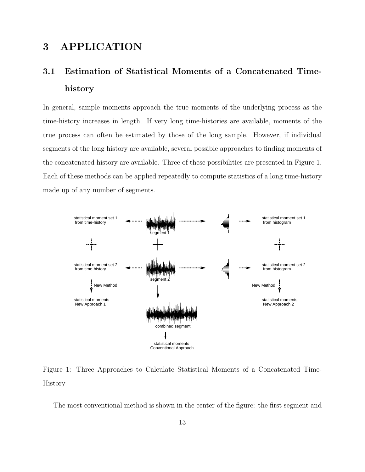## 3 APPLICATION

## 3.1 Estimation of Statistical Moments of a Concatenated Timehistory

In general, sample moments approach the true moments of the underlying process as the time-history increases in length. If very long time-histories are available, moments of the true process can often be estimated by those of the long sample. However, if individual segments of the long history are available, several possible approaches to finding moments of the concatenated history are available. Three of these possibilities are presented in Figure 1. Each of these methods can be applied repeatedly to compute statistics of a long time-history made up of any number of segments.



Figure 1: Three Approaches to Calculate Statistical Moments of a Concatenated Time-History

The most conventional method is shown in the center of the figure: the first segment and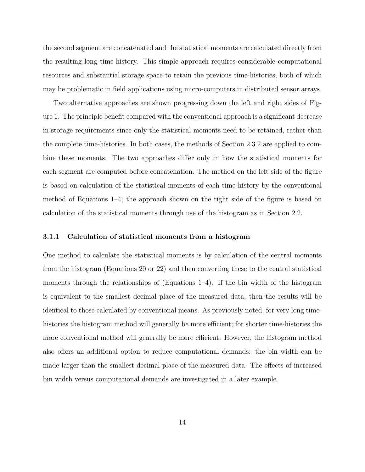the second segment are concatenated and the statistical moments are calculated directly from the resulting long time-history. This simple approach requires considerable computational resources and substantial storage space to retain the previous time-histories, both of which may be problematic in field applications using micro-computers in distributed sensor arrays.

Two alternative approaches are shown progressing down the left and right sides of Figure 1. The principle benefit compared with the conventional approach is a significant decrease in storage requirements since only the statistical moments need to be retained, rather than the complete time-histories. In both cases, the methods of Section 2.3.2 are applied to combine these moments. The two approaches differ only in how the statistical moments for each segment are computed before concatenation. The method on the left side of the figure is based on calculation of the statistical moments of each time-history by the conventional method of Equations 1–4; the approach shown on the right side of the figure is based on calculation of the statistical moments through use of the histogram as in Section 2.2.

### 3.1.1 Calculation of statistical moments from a histogram

One method to calculate the statistical moments is by calculation of the central moments from the histogram (Equations 20 or 22) and then converting these to the central statistical moments through the relationships of (Equations  $1-4$ ). If the bin width of the histogram is equivalent to the smallest decimal place of the measured data, then the results will be identical to those calculated by conventional means. As previously noted, for very long timehistories the histogram method will generally be more efficient; for shorter time-histories the more conventional method will generally be more efficient. However, the histogram method also offers an additional option to reduce computational demands: the bin width can be made larger than the smallest decimal place of the measured data. The effects of increased bin width versus computational demands are investigated in a later example.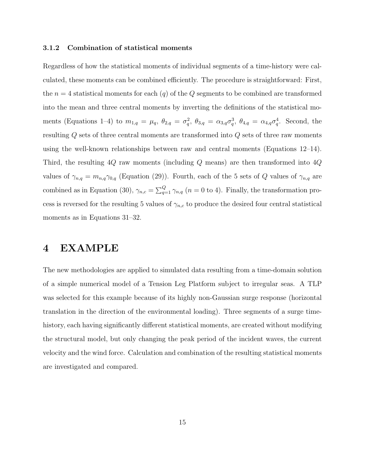### 3.1.2 Combination of statistical moments

Regardless of how the statistical moments of individual segments of a time-history were calculated, these moments can be combined efficiently. The procedure is straightforward: First, the  $n = 4$  statistical moments for each  $(q)$  of the Q segments to be combined are transformed into the mean and three central moments by inverting the definitions of the statistical moments (Equations 1–4) to  $m_{1,q} = \mu_q$ ,  $\theta_{2,q} = \sigma_q^2$ ,  $\theta_{3,q} = \alpha_{3,q}\sigma_q^3$ ,  $\theta_{4,q} = \alpha_{4,q}\sigma_q^4$ . Second, the resulting Q sets of three central moments are transformed into Q sets of three raw moments using the well-known relationships between raw and central moments (Equations 12–14). Third, the resulting  $4Q$  raw moments (including  $Q$  means) are then transformed into  $4Q$ values of  $\gamma_{n,q} = m_{n,q}\gamma_{0,q}$  (Equation (29)). Fourth, each of the 5 sets of Q values of  $\gamma_{n,q}$  are combined as in Equation (30),  $\gamma_{n,c} = \sum_{q=1}^{Q} \gamma_{n,q}$  ( $n = 0$  to 4). Finally, the transformation process is reversed for the resulting 5 values of  $\gamma_{n,c}$  to produce the desired four central statistical moments as in Equations 31–32.

## 4 EXAMPLE

The new methodologies are applied to simulated data resulting from a time-domain solution of a simple numerical model of a Tension Leg Platform subject to irregular seas. A TLP was selected for this example because of its highly non-Gaussian surge response (horizontal translation in the direction of the environmental loading). Three segments of a surge timehistory, each having significantly different statistical moments, are created without modifying the structural model, but only changing the peak period of the incident waves, the current velocity and the wind force. Calculation and combination of the resulting statistical moments are investigated and compared.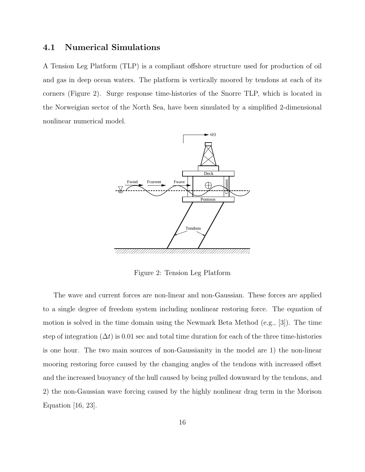### 4.1 Numerical Simulations

A Tension Leg Platform (TLP) is a compliant offshore structure used for production of oil and gas in deep ocean waters. The platform is vertically moored by tendons at each of its corners (Figure 2). Surge response time-histories of the Snorre TLP, which is located in the Norweigian sector of the North Sea, have been simulated by a simplified 2-dimensional nonlinear numerical model.



Figure 2: Tension Leg Platform

The wave and current forces are non-linear and non-Gaussian. These forces are applied to a single degree of freedom system including nonlinear restoring force. The equation of motion is solved in the time domain using the Newmark Beta Method (e.g., [3]). The time step of integration ( $\Delta t$ ) is 0.01 sec and total time duration for each of the three time-histories is one hour. The two main sources of non-Gaussianity in the model are 1) the non-linear mooring restoring force caused by the changing angles of the tendons with increased offset and the increased buoyancy of the hull caused by being pulled downward by the tendons, and 2) the non-Gaussian wave forcing caused by the highly nonlinear drag term in the Morison Equation  $[16, 23]$ .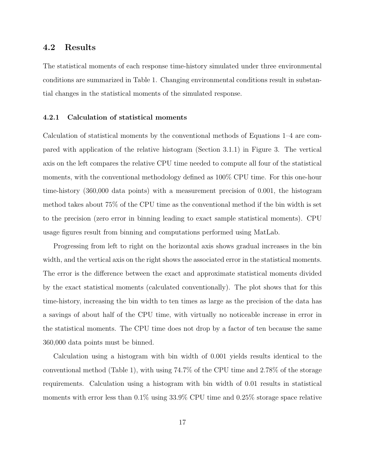### 4.2 Results

The statistical moments of each response time-history simulated under three environmental conditions are summarized in Table 1. Changing environmental conditions result in substantial changes in the statistical moments of the simulated response.

### 4.2.1 Calculation of statistical moments

Calculation of statistical moments by the conventional methods of Equations 1–4 are compared with application of the relative histogram (Section 3.1.1) in Figure 3. The vertical axis on the left compares the relative CPU time needed to compute all four of the statistical moments, with the conventional methodology defined as 100% CPU time. For this one-hour time-history (360,000 data points) with a measurement precision of 0.001, the histogram method takes about 75% of the CPU time as the conventional method if the bin width is set to the precision (zero error in binning leading to exact sample statistical moments). CPU usage figures result from binning and computations performed using MatLab.

Progressing from left to right on the horizontal axis shows gradual increases in the bin width, and the vertical axis on the right shows the associated error in the statistical moments. The error is the difference between the exact and approximate statistical moments divided by the exact statistical moments (calculated conventionally). The plot shows that for this time-history, increasing the bin width to ten times as large as the precision of the data has a savings of about half of the CPU time, with virtually no noticeable increase in error in the statistical moments. The CPU time does not drop by a factor of ten because the same 360,000 data points must be binned.

Calculation using a histogram with bin width of 0.001 yields results identical to the conventional method (Table 1), with using 74.7% of the CPU time and 2.78% of the storage requirements. Calculation using a histogram with bin width of 0.01 results in statistical moments with error less than 0.1% using 33.9% CPU time and 0.25% storage space relative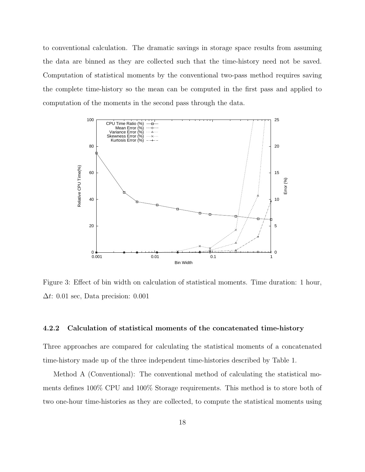to conventional calculation. The dramatic savings in storage space results from assuming the data are binned as they are collected such that the time-history need not be saved. Computation of statistical moments by the conventional two-pass method requires saving the complete time-history so the mean can be computed in the first pass and applied to computation of the moments in the second pass through the data.



Figure 3: Effect of bin width on calculation of statistical moments. Time duration: 1 hour,  $\Delta t$ : 0.01 sec, Data precision: 0.001

#### 4.2.2 Calculation of statistical moments of the concatenated time-history

Three approaches are compared for calculating the statistical moments of a concatenated time-history made up of the three independent time-histories described by Table 1.

Method A (Conventional): The conventional method of calculating the statistical moments defines 100% CPU and 100% Storage requirements. This method is to store both of two one-hour time-histories as they are collected, to compute the statistical moments using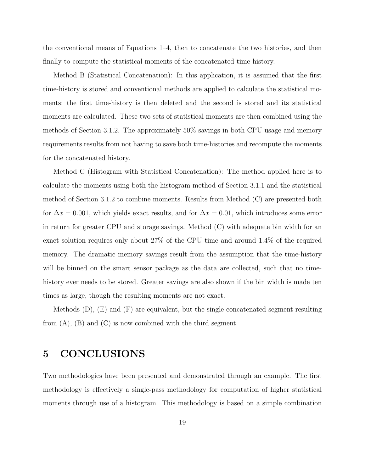the conventional means of Equations 1–4, then to concatenate the two histories, and then finally to compute the statistical moments of the concatenated time-history.

Method B (Statistical Concatenation): In this application, it is assumed that the first time-history is stored and conventional methods are applied to calculate the statistical moments; the first time-history is then deleted and the second is stored and its statistical moments are calculated. These two sets of statistical moments are then combined using the methods of Section 3.1.2. The approximately 50% savings in both CPU usage and memory requirements results from not having to save both time-histories and recompute the moments for the concatenated history.

Method C (Histogram with Statistical Concatenation): The method applied here is to calculate the moments using both the histogram method of Section 3.1.1 and the statistical method of Section 3.1.2 to combine moments. Results from Method (C) are presented both for  $\Delta x = 0.001$ , which yields exact results, and for  $\Delta x = 0.01$ , which introduces some error in return for greater CPU and storage savings. Method (C) with adequate bin width for an exact solution requires only about 27% of the CPU time and around 1.4% of the required memory. The dramatic memory savings result from the assumption that the time-history will be binned on the smart sensor package as the data are collected, such that no timehistory ever needs to be stored. Greater savings are also shown if the bin width is made ten times as large, though the resulting moments are not exact.

Methods (D), (E) and (F) are equivalent, but the single concatenated segment resulting from  $(A)$ ,  $(B)$  and  $(C)$  is now combined with the third segment.

## 5 CONCLUSIONS

Two methodologies have been presented and demonstrated through an example. The first methodology is effectively a single-pass methodology for computation of higher statistical moments through use of a histogram. This methodology is based on a simple combination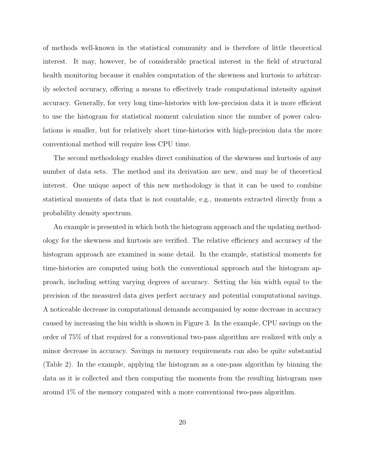of methods well-known in the statistical community and is therefore of little theoretical interest. It may, however, be of considerable practical interest in the field of structural health monitoring because it enables computation of the skewness and kurtosis to arbitrarily selected accuracy, offering a means to effectively trade computational intensity against accuracy. Generally, for very long time-histories with low-precision data it is more efficient to use the histogram for statistical moment calculation since the number of power calculations is smaller, but for relatively short time-histories with high-precision data the more conventional method will require less CPU time.

The second methodology enables direct combination of the skewness and kurtosis of any number of data sets. The method and its derivation are new, and may be of theoretical interest. One unique aspect of this new methodology is that it can be used to combine statistical moments of data that is not countable, e.g., moments extracted directly from a probability density spectrum.

An example is presented in which both the histogram approach and the updating methodology for the skewness and kurtosis are verified. The relative efficiency and accuracy of the histogram approach are examined in some detail. In the example, statistical moments for time-histories are computed using both the conventional approach and the histogram approach, including setting varying degrees of accuracy. Setting the bin width equal to the precision of the measured data gives perfect accuracy and potential computational savings. A noticeable decrease in computational demands accompanied by some decrease in accuracy caused by increasing the bin width is shown in Figure 3. In the example, CPU savings on the order of 75% of that required for a conventional two-pass algorithm are realized with only a minor decrease in accuracy. Savings in memory requirements can also be quite substantial (Table 2). In the example, applying the histogram as a one-pass algorithm by binning the data as it is collected and then computing the moments from the resulting histogram uses around 1% of the memory compared with a more conventional two-pass algorithm.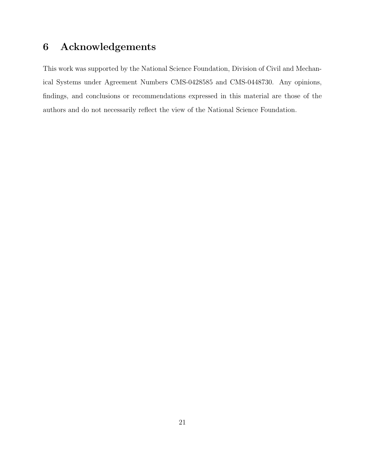## 6 Acknowledgements

This work was supported by the National Science Foundation, Division of Civil and Mechanical Systems under Agreement Numbers CMS-0428585 and CMS-0448730. Any opinions, findings, and conclusions or recommendations expressed in this material are those of the authors and do not necessarily reflect the view of the National Science Foundation.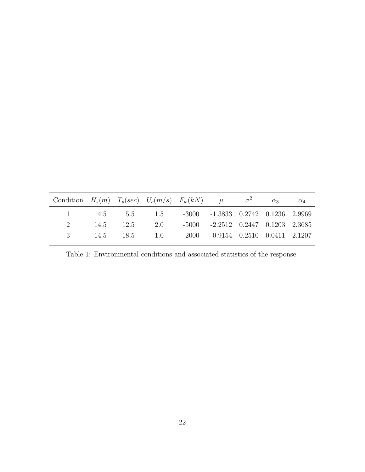| Condition $H_s(m)$ $T_p(sec)$ $U_c(m/s)$ $F_w(kN)$ $\mu$ $\sigma^2$ $\alpha_3$ $\alpha_4$ |  |                                                    |  |  |  |
|-------------------------------------------------------------------------------------------|--|----------------------------------------------------|--|--|--|
|                                                                                           |  | 1 14.5 15.5 1.5 -3000 -1.3833 0.2742 0.1236 2.9969 |  |  |  |
|                                                                                           |  | 2 14.5 12.5 2.0 -5000 -2.2512 0.2447 0.1203 2.3685 |  |  |  |
|                                                                                           |  | 3 14.5 18.5 1.0 -2000 -0.9154 0.2510 0.0411 2.1207 |  |  |  |

Table 1: Environmental conditions and associated statistics of the response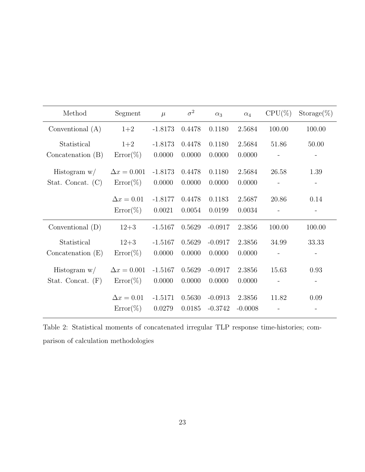| Method              | Segment            | $\mu$     | $\sigma^2$ | $\alpha_3$ | $\alpha_4$ | $CPU(\%)$ | $Storage(\%)$ |
|---------------------|--------------------|-----------|------------|------------|------------|-----------|---------------|
| Conventional $(A)$  | $1+2$              | $-1.8173$ | 0.4478     | 0.1180     | 2.5684     | 100.00    | 100.00        |
| Statistical         | $1+2$              | $-1.8173$ | 0.4478     | 0.1180     | 2.5684     | 51.86     | 50.00         |
| Concatenation $(B)$ | $Error(\%)$        | 0.0000    | 0.0000     | 0.0000     | 0.0000     |           |               |
| Histogram $w/$      | $\Delta x = 0.001$ | $-1.8173$ | 0.4478     | 0.1180     | 2.5684     | 26.58     | 1.39          |
| Stat. Concat. (C)   | $Error(\%)$        | 0.0000    | 0.0000     | 0.0000     | 0.0000     |           |               |
|                     | $\Delta x = 0.01$  | $-1.8177$ | 0.4478     | 0.1183     | 2.5687     | 20.86     | 0.14          |
|                     | $Error(\%)$        | 0.0021    | 0.0054     | 0.0199     | 0.0034     |           |               |
| Conventional $(D)$  | $12 + 3$           | $-1.5167$ | 0.5629     | $-0.0917$  | 2.3856     | 100.00    | 100.00        |
| Statistical         | $12 + 3$           | $-1.5167$ | 0.5629     | $-0.0917$  | 2.3856     | 34.99     | 33.33         |
| Concatenation $(E)$ | $Error(\%)$        | 0.0000    | 0.0000     | 0.0000     | 0.0000     |           |               |
| Histogram $w/$      | $\Delta x = 0.001$ | $-1.5167$ | 0.5629     | $-0.0917$  | 2.3856     | 15.63     | 0.93          |
| Stat. Concat. $(F)$ | $Error(\%)$        | 0.0000    | 0.0000     | 0.0000     | 0.0000     |           |               |
|                     | $\Delta x = 0.01$  | $-1.5171$ | 0.5630     | $-0.0913$  | 2.3856     | 11.82     | 0.09          |
|                     | $Error(\%)$        | 0.0279    | 0.0185     | $-0.3742$  | $-0.0008$  |           |               |

Table 2: Statistical moments of concatenated irregular TLP response time-histories; comparison of calculation methodologies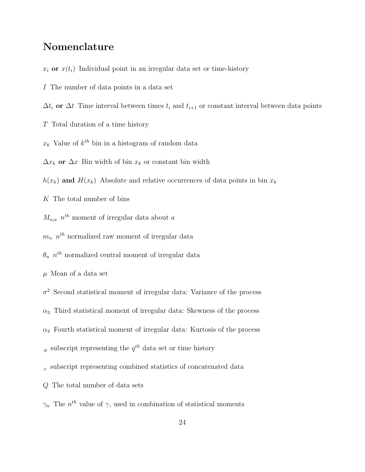## Nomenclature

 $x_i$  or  $x(t_i)$  Individual point in an irregular data set or time-history

I The number of data points in a data set

 $\Delta t_i$  or  $\Delta t$  Time interval between times  $t_i$  and  $t_{i+1}$  or constant interval between data points

- T Total duration of a time history
- $x_k$  Value of  $k^{th}$  bin in a histogram of random data
- $\Delta x_k$  or  $\Delta x$  Bin width of bin  $x_k$  or constant bin width
- $h(x_k)$  and  $H(x_k)$  Absolute and relative occurrences of data points in bin  $x_k$
- K The total number of bins

 $M_{n,a}$  n<sup>th</sup> moment of irregular data about a

 $m_n$  n<sup>th</sup> normalized raw moment of irregular data

 $\theta_n$  n<sup>th</sup> normalized central moment of irregular data

 $\mu$  Mean of a data set

- $\sigma^2$  Second statistical moment of irregular data: Variance of the process
- $\alpha_3$  Third statistical moment of irregular data: Skewness of the process
- $\alpha_4$  Fourth statistical moment of irregular data: Kurtosis of the process
- $q$ , subscript representing the  $q^{th}$  data set or time history
- $,c\,$  subscript representing combined statistics of concatenated data
- Q The total number of data sets
- $\gamma_n$  The  $n^{th}$  value of  $\gamma$ , used in combination of statistical moments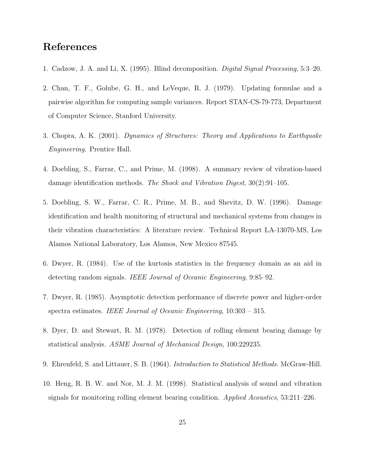## References

- 1. Cadzow, J. A. and Li, X. (1995). Blind decomposition. Digital Signal Processing, 5:3–20.
- 2. Chan, T. F., Golube, G. H., and LeVeque, R. J. (1979). Updating formulae and a pairwise algorithm for computing sample variances. Report STAN-CS-79-773, Department of Computer Science, Stanford University.
- 3. Chopra, A. K. (2001). Dynamics of Structures: Theory and Applications to Earthquake Engineering. Prentice Hall.
- 4. Doebling, S., Farrar, C., and Prime, M. (1998). A summary review of vibration-based damage identification methods. The Shock and Vibration Digest, 30(2):91–105.
- 5. Doebling, S. W., Farrar, C. R., Prime, M. B., and Shevitz, D. W. (1996). Damage identification and health monitoring of structural and mechanical systems from changes in their vibration characteristics: A literature review. Technical Report LA-13070-MS, Los Alamos National Laboratory, Los Alamos, New Mexico 87545.
- 6. Dwyer, R. (1984). Use of the kurtosis statistics in the frequency domain as an aid in detecting random signals. IEEE Journal of Oceanic Engineering, 9:85–92.
- 7. Dwyer, R. (1985). Asymptotic detection performance of discrete power and higher-order spectra estimates. IEEE Journal of Oceanic Engineering, 10:303 – 315.
- 8. Dyer, D. and Stewart, R. M. (1978). Detection of rolling element bearing damage by statistical analysis. ASME Journal of Mechanical Design, 100:229235.
- 9. Ehrenfeld, S. and Littauer, S. B. (1964). Introduction to Statistical Methods. McGraw-Hill.
- 10. Heng, R. B. W. and Nor, M. J. M. (1998). Statistical analysis of sound and vibration signals for monitoring rolling element bearing condition. Applied Acoustics, 53:211–226.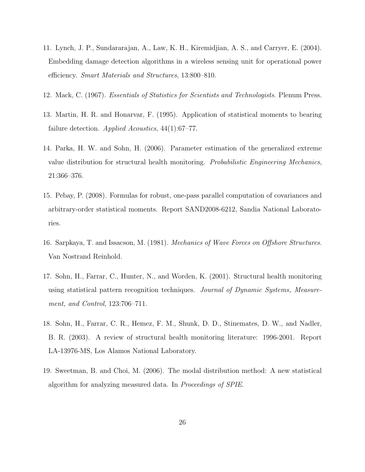- 11. Lynch, J. P., Sundararajan, A., Law, K. H., Kiremidjian, A. S., and Carryer, E. (2004). Embedding damage detection algorithms in a wireless sensing unit for operational power efficiency. Smart Materials and Structures, 13:800–810.
- 12. Mack, C. (1967). Essentials of Statistics for Scientists and Technologists. Plenum Press.
- 13. Martin, H. R. and Honarvar, F. (1995). Application of statistical moments to bearing failure detection. Applied Acoustics, 44(1):67–77.
- 14. Parka, H. W. and Sohn, H. (2006). Parameter estimation of the generalized extreme value distribution for structural health monitoring. Probabilistic Engineering Mechanics, 21:366–376.
- 15. Pebay, P. (2008). Formulas for robust, one-pass parallel computation of covariances and arbitrary-order statistical moments. Report SAND2008-6212, Sandia National Laboratories.
- 16. Sarpkaya, T. and Issacson, M. (1981). Mechanics of Wave Forces on Offshore Structures. Van Nostrand Reinhold.
- 17. Sohn, H., Farrar, C., Hunter, N., and Worden, K. (2001). Structural health monitoring using statistical pattern recognition techniques. Journal of Dynamic Systems, Measurement, and Control, 123:706–711.
- 18. Sohn, H., Farrar, C. R., Hemez, F. M., Shunk, D. D., Stinemates, D. W., and Nadler, B. R. (2003). A review of structural health monitoring literature: 1996-2001. Report LA-13976-MS, Los Alamos National Laboratory.
- 19. Sweetman, B. and Choi, M. (2006). The modal distribution method: A new statistical algorithm for analyzing measured data. In Proceedings of SPIE.